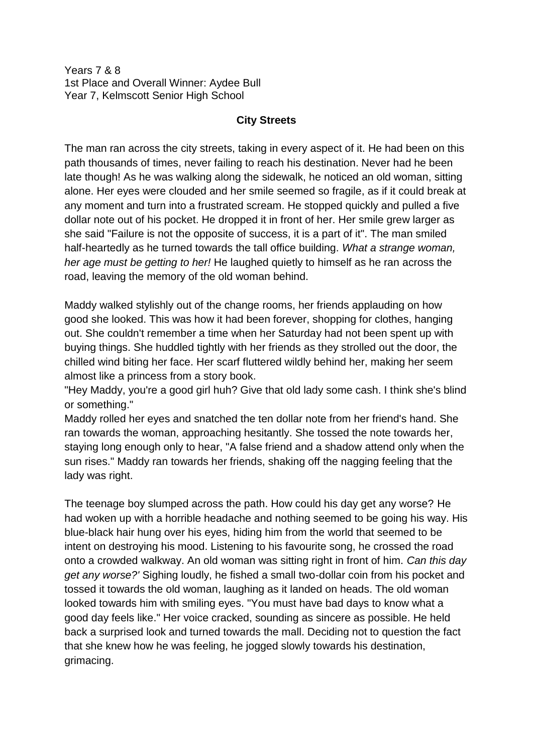Years 7 & 8 1st Place and Overall Winner: Aydee Bull Year 7, Kelmscott Senior High School

## **City Streets**

The man ran across the city streets, taking in every aspect of it. He had been on this path thousands of times, never failing to reach his destination. Never had he been late though! As he was walking along the sidewalk, he noticed an old woman, sitting alone. Her eyes were clouded and her smile seemed so fragile, as if it could break at any moment and turn into a frustrated scream. He stopped quickly and pulled a five dollar note out of his pocket. He dropped it in front of her. Her smile grew larger as she said "Failure is not the opposite of success, it is a part of it". The man smiled half-heartedly as he turned towards the tall office building. *What a strange woman, her age must be getting to her!* He laughed quietly to himself as he ran across the road, leaving the memory of the old woman behind.

Maddy walked stylishly out of the change rooms, her friends applauding on how good she looked. This was how it had been forever, shopping for clothes, hanging out. She couldn't remember a time when her Saturday had not been spent up with buying things. She huddled tightly with her friends as they strolled out the door, the chilled wind biting her face. Her scarf fluttered wildly behind her, making her seem almost like a princess from a story book.

"Hey Maddy, you're a good girl huh? Give that old lady some cash. I think she's blind or something."

Maddy rolled her eyes and snatched the ten dollar note from her friend's hand. She ran towards the woman, approaching hesitantly. She tossed the note towards her, staying long enough only to hear, "A false friend and a shadow attend only when the sun rises." Maddy ran towards her friends, shaking off the nagging feeling that the lady was right.

The teenage boy slumped across the path. How could his day get any worse? He had woken up with a horrible headache and nothing seemed to be going his way. His blue-black hair hung over his eyes, hiding him from the world that seemed to be intent on destroying his mood. Listening to his favourite song, he crossed the road onto a crowded walkway. An old woman was sitting right in front of him. *Can this day get any worse?'* Sighing loudly, he fished a small two-dollar coin from his pocket and tossed it towards the old woman, laughing as it landed on heads. The old woman looked towards him with smiling eyes. "You must have bad days to know what a good day feels like." Her voice cracked, sounding as sincere as possible. He held back a surprised look and turned towards the mall. Deciding not to question the fact that she knew how he was feeling, he jogged slowly towards his destination, grimacing.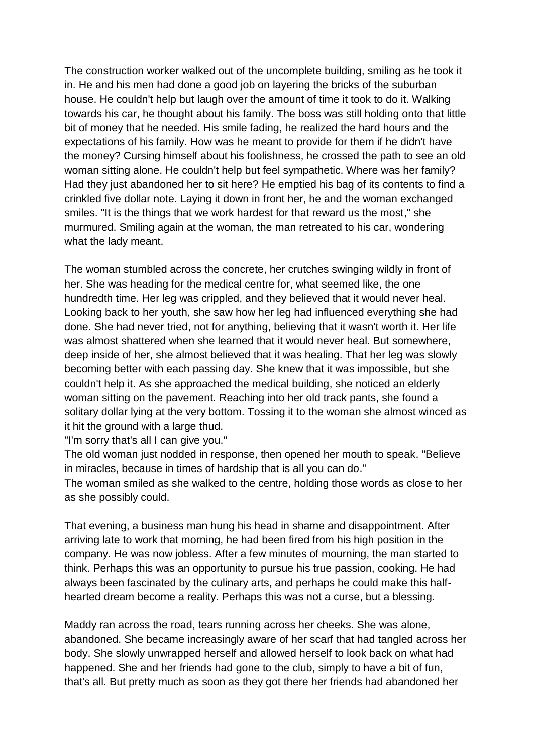The construction worker walked out of the uncomplete building, smiling as he took it in. He and his men had done a good job on layering the bricks of the suburban house. He couldn't help but laugh over the amount of time it took to do it. Walking towards his car, he thought about his family. The boss was still holding onto that little bit of money that he needed. His smile fading, he realized the hard hours and the expectations of his family. How was he meant to provide for them if he didn't have the money? Cursing himself about his foolishness, he crossed the path to see an old woman sitting alone. He couldn't help but feel sympathetic. Where was her family? Had they just abandoned her to sit here? He emptied his bag of its contents to find a crinkled five dollar note. Laying it down in front her, he and the woman exchanged smiles. "It is the things that we work hardest for that reward us the most," she murmured. Smiling again at the woman, the man retreated to his car, wondering what the lady meant.

The woman stumbled across the concrete, her crutches swinging wildly in front of her. She was heading for the medical centre for, what seemed like, the one hundredth time. Her leg was crippled, and they believed that it would never heal. Looking back to her youth, she saw how her leg had influenced everything she had done. She had never tried, not for anything, believing that it wasn't worth it. Her life was almost shattered when she learned that it would never heal. But somewhere, deep inside of her, she almost believed that it was healing. That her leg was slowly becoming better with each passing day. She knew that it was impossible, but she couldn't help it. As she approached the medical building, she noticed an elderly woman sitting on the pavement. Reaching into her old track pants, she found a solitary dollar lying at the very bottom. Tossing it to the woman she almost winced as it hit the ground with a large thud.

"I'm sorry that's all I can give you."

The old woman just nodded in response, then opened her mouth to speak. "Believe in miracles, because in times of hardship that is all you can do."

The woman smiled as she walked to the centre, holding those words as close to her as she possibly could.

That evening, a business man hung his head in shame and disappointment. After arriving late to work that morning, he had been fired from his high position in the company. He was now jobless. After a few minutes of mourning, the man started to think. Perhaps this was an opportunity to pursue his true passion, cooking. He had always been fascinated by the culinary arts, and perhaps he could make this halfhearted dream become a reality. Perhaps this was not a curse, but a blessing.

Maddy ran across the road, tears running across her cheeks. She was alone, abandoned. She became increasingly aware of her scarf that had tangled across her body. She slowly unwrapped herself and allowed herself to look back on what had happened. She and her friends had gone to the club, simply to have a bit of fun, that's all. But pretty much as soon as they got there her friends had abandoned her